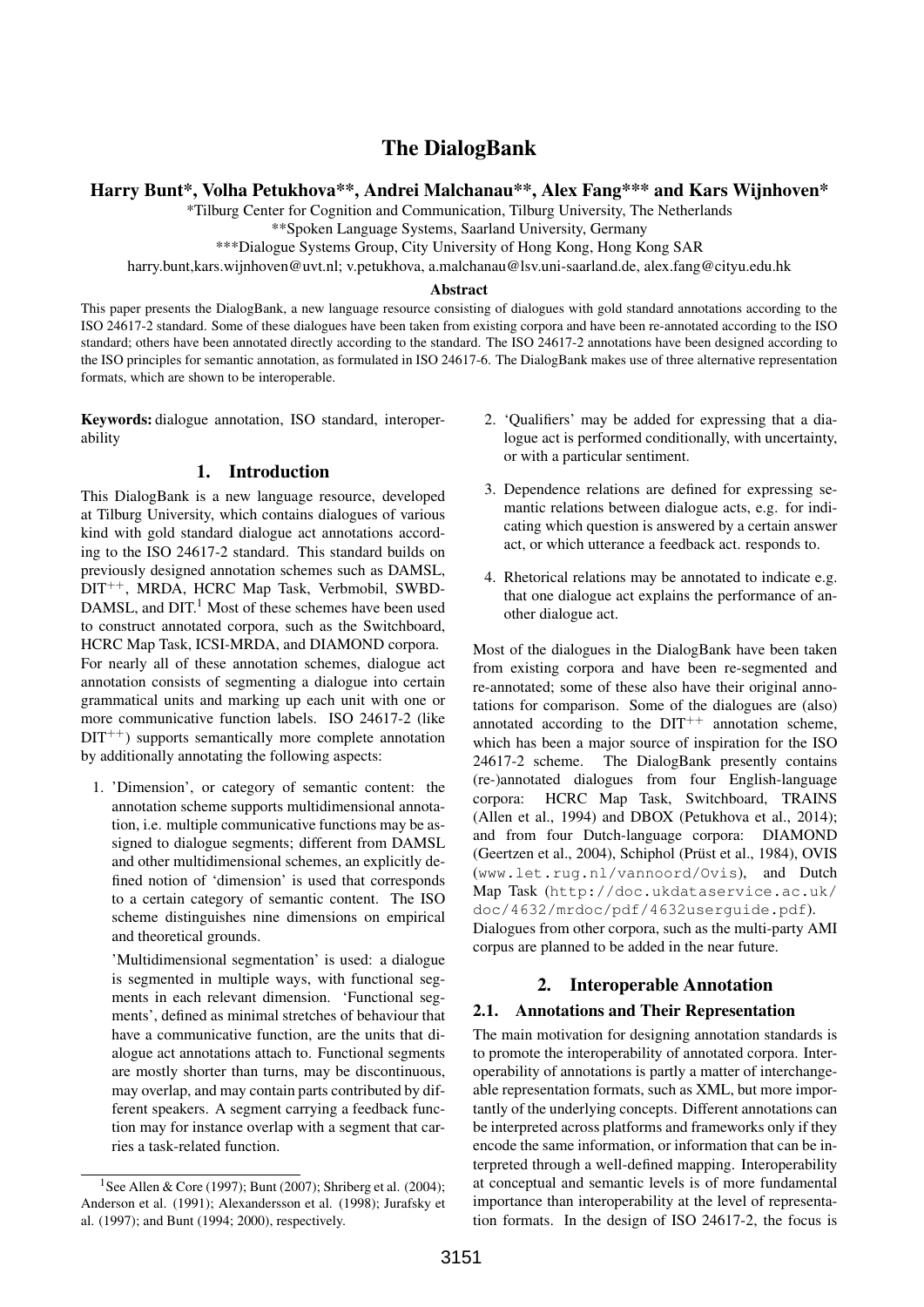# The DialogBank

Harry Bunt\*, Volha Petukhova\*\*, Andrei Malchanau\*\*, Alex Fang\*\*\* and Kars Wijnhoven\*

\*Tilburg Center for Cognition and Communication, Tilburg University, The Netherlands

\*\*Spoken Language Systems, Saarland University, Germany

\*\*\*Dialogue Systems Group, City University of Hong Kong, Hong Kong SAR

harry.bunt,kars.wijnhoven@uvt.nl; v.petukhova, a.malchanau@lsv.uni-saarland.de, alex.fang@cityu.edu.hk

#### Abstract

This paper presents the DialogBank, a new language resource consisting of dialogues with gold standard annotations according to the ISO 24617-2 standard. Some of these dialogues have been taken from existing corpora and have been re-annotated according to the ISO standard; others have been annotated directly according to the standard. The ISO 24617-2 annotations have been designed according to the ISO principles for semantic annotation, as formulated in ISO 24617-6. The DialogBank makes use of three alternative representation formats, which are shown to be interoperable.

Keywords: dialogue annotation, ISO standard, interoperability

## 1. Introduction

This DialogBank is a new language resource, developed at Tilburg University, which contains dialogues of various kind with gold standard dialogue act annotations according to the ISO 24617-2 standard. This standard builds on previously designed annotation schemes such as DAMSL, DIT++, MRDA, HCRC Map Task, Verbmobil, SWBD-DAMSL, and DIT.<sup>1</sup> Most of these schemes have been used to construct annotated corpora, such as the Switchboard, HCRC Map Task, ICSI-MRDA, and DIAMOND corpora. For nearly all of these annotation schemes, dialogue act annotation consists of segmenting a dialogue into certain grammatical units and marking up each unit with one or more communicative function labels. ISO 24617-2 (like  $DIT^{++}$ ) supports semantically more complete annotation by additionally annotating the following aspects:

1. 'Dimension', or category of semantic content: the annotation scheme supports multidimensional annotation, i.e. multiple communicative functions may be assigned to dialogue segments; different from DAMSL and other multidimensional schemes, an explicitly defined notion of 'dimension' is used that corresponds to a certain category of semantic content. The ISO scheme distinguishes nine dimensions on empirical and theoretical grounds.

'Multidimensional segmentation' is used: a dialogue is segmented in multiple ways, with functional segments in each relevant dimension. 'Functional segments', defined as minimal stretches of behaviour that have a communicative function, are the units that dialogue act annotations attach to. Functional segments are mostly shorter than turns, may be discontinuous, may overlap, and may contain parts contributed by different speakers. A segment carrying a feedback function may for instance overlap with a segment that carries a task-related function.

- 2. 'Qualifiers' may be added for expressing that a dialogue act is performed conditionally, with uncertainty, or with a particular sentiment.
- 3. Dependence relations are defined for expressing semantic relations between dialogue acts, e.g. for indicating which question is answered by a certain answer act, or which utterance a feedback act. responds to.
- 4. Rhetorical relations may be annotated to indicate e.g. that one dialogue act explains the performance of another dialogue act.

Most of the dialogues in the DialogBank have been taken from existing corpora and have been re-segmented and re-annotated; some of these also have their original annotations for comparison. Some of the dialogues are (also) annotated according to the  $DT^{++}$  annotation scheme, which has been a major source of inspiration for the ISO 24617-2 scheme. The DialogBank presently contains (re-)annotated dialogues from four English-language corpora: HCRC Map Task, Switchboard, TRAINS (Allen et al., 1994) and DBOX (Petukhova et al., 2014); and from four Dutch-language corpora: DIAMOND (Geertzen et al., 2004), Schiphol (Prüst et al., 1984), OVIS (www.let.rug.nl/vannoord/Ovis), and Dutch Map Task (http://doc.ukdataservice.ac.uk/ doc/4632/mrdoc/pdf/4632userguide.pdf). Dialogues from other corpora, such as the multi-party AMI corpus are planned to be added in the near future.

# 2. Interoperable Annotation

## 2.1. Annotations and Their Representation

The main motivation for designing annotation standards is to promote the interoperability of annotated corpora. Interoperability of annotations is partly a matter of interchangeable representation formats, such as XML, but more importantly of the underlying concepts. Different annotations can be interpreted across platforms and frameworks only if they encode the same information, or information that can be interpreted through a well-defined mapping. Interoperability at conceptual and semantic levels is of more fundamental importance than interoperability at the level of representation formats. In the design of ISO 24617-2, the focus is

<sup>&</sup>lt;sup>1</sup>See Allen & Core (1997); Bunt (2007); Shriberg et al. (2004); Anderson et al. (1991); Alexandersson et al. (1998); Jurafsky et al. (1997); and Bunt (1994; 2000), respectively.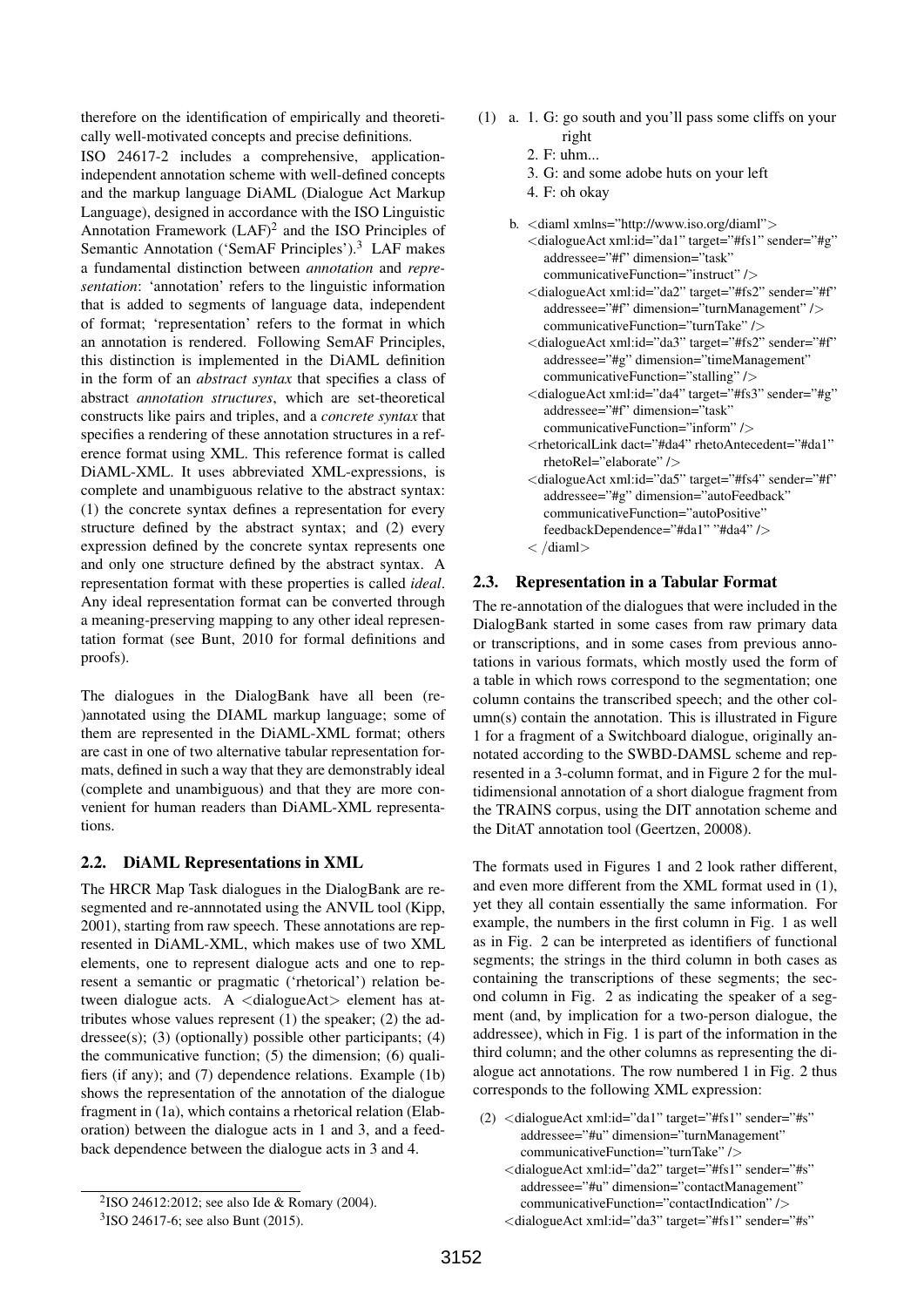therefore on the identification of empirically and theoretically well-motivated concepts and precise definitions.

ISO 24617-2 includes a comprehensive, applicationindependent annotation scheme with well-defined concepts and the markup language DiAML (Dialogue Act Markup Language), designed in accordance with the ISO Linguistic Annotation Framework  $(LAF)^2$  and the ISO Principles of Semantic Annotation ('SemAF Principles').<sup>3</sup> LAF makes a fundamental distinction between *annotation* and *representation*: 'annotation' refers to the linguistic information that is added to segments of language data, independent of format; 'representation' refers to the format in which an annotation is rendered. Following SemAF Principles, this distinction is implemented in the DiAML definition in the form of an *abstract syntax* that specifies a class of abstract *annotation structures*, which are set-theoretical constructs like pairs and triples, and a *concrete syntax* that specifies a rendering of these annotation structures in a reference format using XML. This reference format is called DiAML-XML. It uses abbreviated XML-expressions, is complete and unambiguous relative to the abstract syntax: (1) the concrete syntax defines a representation for every structure defined by the abstract syntax; and (2) every expression defined by the concrete syntax represents one and only one structure defined by the abstract syntax. A representation format with these properties is called *ideal*. Any ideal representation format can be converted through a meaning-preserving mapping to any other ideal representation format (see Bunt, 2010 for formal definitions and proofs).

The dialogues in the DialogBank have all been (re- )annotated using the DIAML markup language; some of them are represented in the DiAML-XML format; others are cast in one of two alternative tabular representation formats, defined in such a way that they are demonstrably ideal (complete and unambiguous) and that they are more convenient for human readers than DiAML-XML representations.

## 2.2. DiAML Representations in XML

The HRCR Map Task dialogues in the DialogBank are resegmented and re-annnotated using the ANVIL tool (Kipp, 2001), starting from raw speech. These annotations are represented in DiAML-XML, which makes use of two XML elements, one to represent dialogue acts and one to represent a semantic or pragmatic ('rhetorical') relation between dialogue acts. A <dialogueAct> element has attributes whose values represent (1) the speaker; (2) the addressee(s); (3) (optionally) possible other participants;  $(4)$ the communicative function; (5) the dimension; (6) qualifiers (if any); and (7) dependence relations. Example (1b) shows the representation of the annotation of the dialogue fragment in (1a), which contains a rhetorical relation (Elaboration) between the dialogue acts in 1 and 3, and a feedback dependence between the dialogue acts in 3 and 4.

- (1) a. 1. G: go south and you'll pass some cliffs on your right
	- 2. F: uhm...
	- 3. G: and some adobe huts on your left
	- 4. F: oh okay
	- b. <diaml xmlns="http://www.iso.org/diaml"> <dialogueAct xml:id="da1" target="#fs1" sender="#g" addressee="#f" dimension="task" communicativeFunction="instruct" />
		- <dialogueAct xml:id="da2" target="#fs2" sender="#f" addressee="#f" dimension="turnManagement" /> communicativeFunction="turnTake" />
		- <dialogueAct xml:id="da3" target="#fs2" sender="#f" addressee="#g" dimension="timeManagement" communicativeFunction="stalling" />
		- <dialogueAct xml:id="da4" target="#fs3" sender="#g" addressee="#f" dimension="task"
			- communicativeFunction="inform" />
		- <rhetoricalLink dact="#da4" rhetoAntecedent="#da1" rhetoRel="elaborate" />
		- <dialogueAct xml:id="da5" target="#fs4" sender="#f" addressee="#g" dimension="autoFeedback" communicativeFunction="autoPositive" feedbackDependence="#da1" "#da4" />  $\langle$  /diaml $>$

# 2.3. Representation in a Tabular Format

The re-annotation of the dialogues that were included in the DialogBank started in some cases from raw primary data or transcriptions, and in some cases from previous annotations in various formats, which mostly used the form of a table in which rows correspond to the segmentation; one column contains the transcribed speech; and the other column(s) contain the annotation. This is illustrated in Figure 1 for a fragment of a Switchboard dialogue, originally annotated according to the SWBD-DAMSL scheme and represented in a 3-column format, and in Figure 2 for the multidimensional annotation of a short dialogue fragment from the TRAINS corpus, using the DIT annotation scheme and the DitAT annotation tool (Geertzen, 20008).

The formats used in Figures 1 and 2 look rather different, and even more different from the XML format used in (1), yet they all contain essentially the same information. For example, the numbers in the first column in Fig. 1 as well as in Fig. 2 can be interpreted as identifiers of functional segments; the strings in the third column in both cases as containing the transcriptions of these segments; the second column in Fig. 2 as indicating the speaker of a segment (and, by implication for a two-person dialogue, the addressee), which in Fig. 1 is part of the information in the third column; and the other columns as representing the dialogue act annotations. The row numbered 1 in Fig. 2 thus corresponds to the following XML expression:

(2)  $\langle$ dialogueAct xml:id="da1" target="#fs1" sender="#s" addressee="#u" dimension="turnManagement" communicativeFunction="turnTake" />

<sup>2</sup> ISO 24612:2012; see also Ide & Romary (2004).

<sup>3</sup> ISO 24617-6; see also Bunt (2015).

<sup>&</sup>lt;dialogueAct xml:id="da2" target="#fs1" sender="#s" addressee="#u" dimension="contactManagement" communicativeFunction="contactIndication" /> <dialogueAct xml:id="da3" target="#fs1" sender="#s"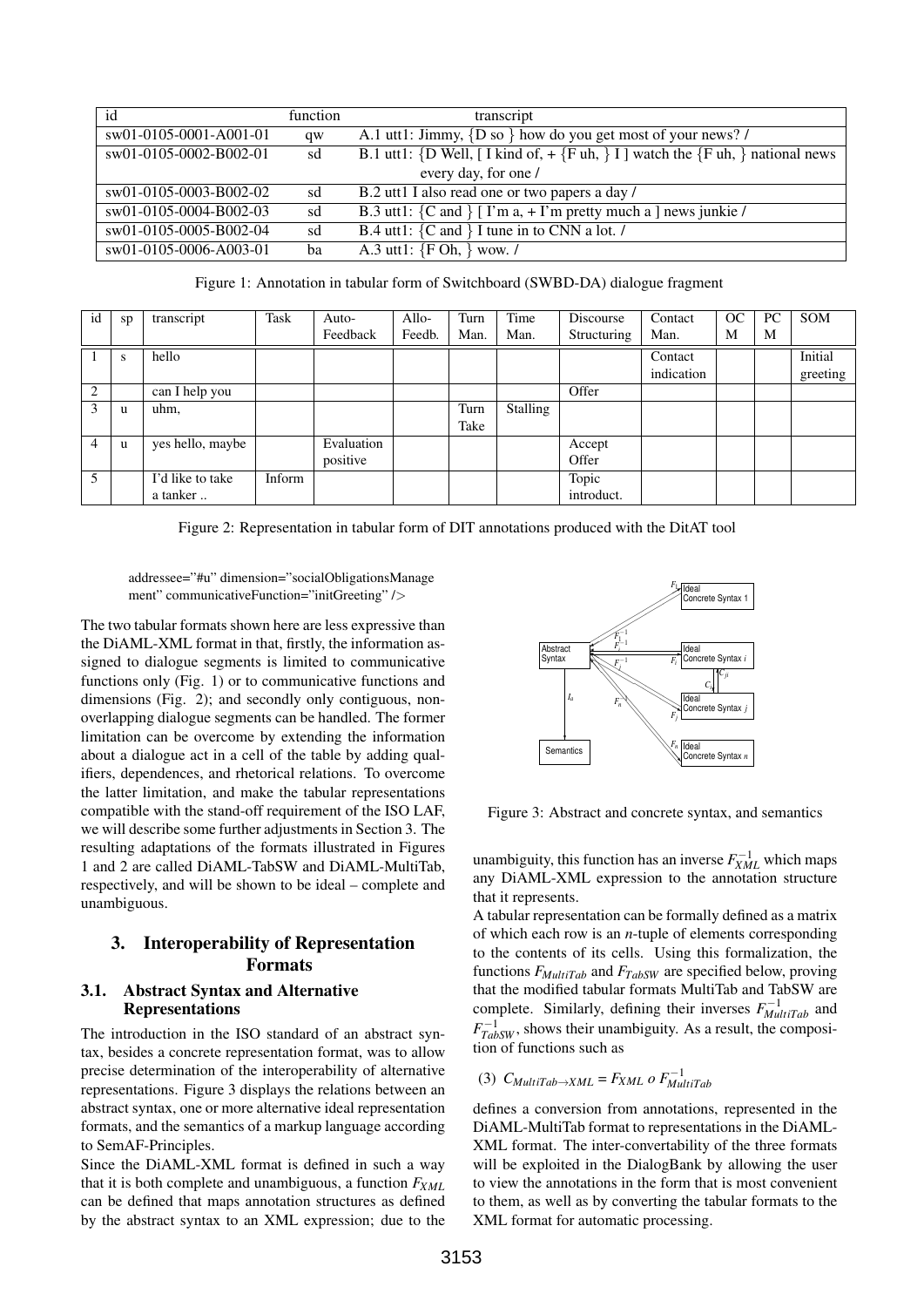| id                       | function | transcript                                                                                      |  |  |  |  |
|--------------------------|----------|-------------------------------------------------------------------------------------------------|--|--|--|--|
| $sw01-0105-0001-AO01-01$ | qw       | A.1 utt1: Jimmy, $\{D\$ so $\}$ how do you get most of your news? /                             |  |  |  |  |
| sw01-0105-0002-B002-01   | sd       | B.1 utt1: {D Well, [ I kind of, + {F uh, } I ] watch the {F uh, } national news                 |  |  |  |  |
| every day, for one /     |          |                                                                                                 |  |  |  |  |
| sw01-0105-0003-B002-02   | sd       | B.2 utt1 I also read one or two papers a day /                                                  |  |  |  |  |
| sw01-0105-0004-B002-03   | sd       | B.3 utt1: ${C \text{ and }  T \text{ in a, + } \Gamma \text{ m pretty much a } }$ news junkie / |  |  |  |  |
| sw01-0105-0005-B002-04   | sd       | B.4 utt1: ${C \text{ and } C$ I tune in to CNN a lot. /                                         |  |  |  |  |
| sw01-0105-0006-A003-01   | ba       | A.3 utt1: ${F Oh, }$ wow. /                                                                     |  |  |  |  |

Figure 1: Annotation in tabular form of Switchboard (SWBD-DA) dialogue fragment

| id             | sp | transcript       | Task   | Auto-      | Allo-  | Turn | Time     | Discourse   | Contact    | OC | PC | <b>SOM</b> |
|----------------|----|------------------|--------|------------|--------|------|----------|-------------|------------|----|----|------------|
|                |    |                  |        | Feedback   | Feedb. | Man. | Man.     | Structuring | Man.       | M  | M  |            |
|                | S  | hello            |        |            |        |      |          |             | Contact    |    |    | Initial    |
|                |    |                  |        |            |        |      |          |             | indication |    |    | greeting   |
| 2              |    | can I help you   |        |            |        |      |          | Offer       |            |    |    |            |
|                | u  | uhm,             |        |            |        | Turn | Stalling |             |            |    |    |            |
|                |    |                  |        |            |        | Take |          |             |            |    |    |            |
| $\overline{4}$ | u  | yes hello, maybe |        | Evaluation |        |      |          | Accept      |            |    |    |            |
|                |    |                  |        | positive   |        |      |          | Offer       |            |    |    |            |
| 5              |    | I'd like to take | Inform |            |        |      |          | Topic       |            |    |    |            |
|                |    | a tanker         |        |            |        |      |          | introduct.  |            |    |    |            |

Figure 2: Representation in tabular form of DIT annotations produced with the DitAT tool

addressee="#u" dimension="socialObligationsManage ment" communicativeFunction="initGreeting" />

The two tabular formats shown here are less expressive than the DiAML-XML format in that, firstly, the information assigned to dialogue segments is limited to communicative functions only (Fig. 1) or to communicative functions and dimensions (Fig. 2); and secondly only contiguous, nonoverlapping dialogue segments can be handled. The former limitation can be overcome by extending the information about a dialogue act in a cell of the table by adding qualifiers, dependences, and rhetorical relations. To overcome the latter limitation, and make the tabular representations compatible with the stand-off requirement of the ISO LAF, we will describe some further adjustments in Section 3. The resulting adaptations of the formats illustrated in Figures 1 and 2 are called DiAML-TabSW and DiAML-MultiTab, respectively, and will be shown to be ideal – complete and unambiguous.

# 3. Interoperability of Representation Formats

## 3.1. Abstract Syntax and Alternative Representations

The introduction in the ISO standard of an abstract syntax, besides a concrete representation format, was to allow precise determination of the interoperability of alternative representations. Figure 3 displays the relations between an abstract syntax, one or more alternative ideal representation formats, and the semantics of a markup language according to SemAF-Principles.

Since the DiAML-XML format is defined in such a way that it is both complete and unambiguous, a function *FXML* can be defined that maps annotation structures as defined by the abstract syntax to an XML expression; due to the



Figure 3: Abstract and concrete syntax, and semantics

unambiguity, this function has an inverse  $F_{XML}^{-1}$  which maps any DiAML-XML expression to the annotation structure that it represents.

A tabular representation can be formally defined as a matrix of which each row is an *n*-tuple of elements corresponding to the contents of its cells. Using this formalization, the functions *FMultiTab* and *FTabSW* are specified below, proving that the modified tabular formats MultiTab and TabSW are complete. Similarly, defining their inverses  $F_{MultiTab}^{-1}$  and  $F_{TabSW}^{-1}$ , shows their unambiguity. As a result, the composition of functions such as

$$
(3) \ C_{MultiTab \to XML} = F_{XML} \ o \ F_{MultiTab}^{-1}
$$

defines a conversion from annotations, represented in the DiAML-MultiTab format to representations in the DiAML-XML format. The inter-convertability of the three formats will be exploited in the DialogBank by allowing the user to view the annotations in the form that is most convenient to them, as well as by converting the tabular formats to the XML format for automatic processing.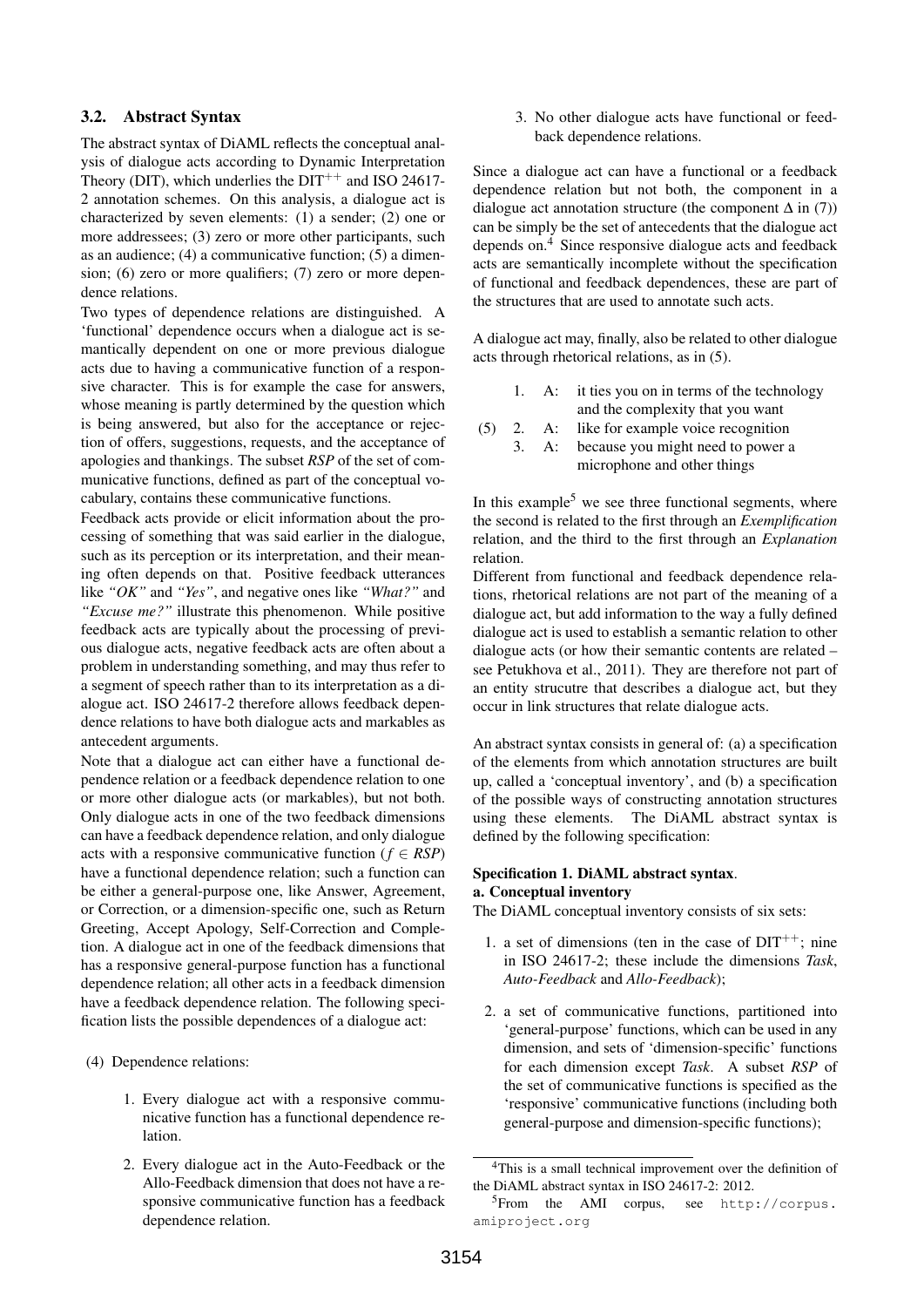## 3.2. Abstract Syntax

The abstract syntax of DiAML reflects the conceptual analysis of dialogue acts according to Dynamic Interpretation Theory (DIT), which underlies the  $DT^{++}$  and ISO 24617-2 annotation schemes. On this analysis, a dialogue act is characterized by seven elements: (1) a sender; (2) one or more addressees; (3) zero or more other participants, such as an audience; (4) a communicative function; (5) a dimension; (6) zero or more qualifiers; (7) zero or more dependence relations.

Two types of dependence relations are distinguished. A 'functional' dependence occurs when a dialogue act is semantically dependent on one or more previous dialogue acts due to having a communicative function of a responsive character. This is for example the case for answers, whose meaning is partly determined by the question which is being answered, but also for the acceptance or rejection of offers, suggestions, requests, and the acceptance of apologies and thankings. The subset *RSP* of the set of communicative functions, defined as part of the conceptual vocabulary, contains these communicative functions.

Feedback acts provide or elicit information about the processing of something that was said earlier in the dialogue, such as its perception or its interpretation, and their meaning often depends on that. Positive feedback utterances like *"OK"* and *"Yes"*, and negative ones like *"What?"* and *"Excuse me?"* illustrate this phenomenon. While positive feedback acts are typically about the processing of previous dialogue acts, negative feedback acts are often about a problem in understanding something, and may thus refer to a segment of speech rather than to its interpretation as a dialogue act. ISO 24617-2 therefore allows feedback dependence relations to have both dialogue acts and markables as antecedent arguments.

Note that a dialogue act can either have a functional dependence relation or a feedback dependence relation to one or more other dialogue acts (or markables), but not both. Only dialogue acts in one of the two feedback dimensions can have a feedback dependence relation, and only dialogue acts with a responsive communicative function ( $f \in RSP$ ) have a functional dependence relation; such a function can be either a general-purpose one, like Answer, Agreement, or Correction, or a dimension-specific one, such as Return Greeting, Accept Apology, Self-Correction and Completion. A dialogue act in one of the feedback dimensions that has a responsive general-purpose function has a functional dependence relation; all other acts in a feedback dimension have a feedback dependence relation. The following specification lists the possible dependences of a dialogue act:

(4) Dependence relations:

- 1. Every dialogue act with a responsive communicative function has a functional dependence relation.
- 2. Every dialogue act in the Auto-Feedback or the Allo-Feedback dimension that does not have a responsive communicative function has a feedback dependence relation.

3. No other dialogue acts have functional or feedback dependence relations.

Since a dialogue act can have a functional or a feedback dependence relation but not both, the component in a dialogue act annotation structure (the component  $\Delta$  in (7)) can be simply be the set of antecedents that the dialogue act depends on.<sup>4</sup> Since responsive dialogue acts and feedback acts are semantically incomplete without the specification of functional and feedback dependences, these are part of the structures that are used to annotate such acts.

A dialogue act may, finally, also be related to other dialogue acts through rhetorical relations, as in (5).

- 1. A: it ties you on in terms of the technology and the complexity that you want
- 2. A: like for example voice recognition

(5)

3. A: because you might need to power a microphone and other things

In this example<sup>5</sup> we see three functional segments, where the second is related to the first through an *Exemplification* relation, and the third to the first through an *Explanation* relation.

Different from functional and feedback dependence relations, rhetorical relations are not part of the meaning of a dialogue act, but add information to the way a fully defined dialogue act is used to establish a semantic relation to other dialogue acts (or how their semantic contents are related – see Petukhova et al., 2011). They are therefore not part of an entity strucutre that describes a dialogue act, but they occur in link structures that relate dialogue acts.

An abstract syntax consists in general of: (a) a specification of the elements from which annotation structures are built up, called a 'conceptual inventory', and (b) a specification of the possible ways of constructing annotation structures using these elements. The DiAML abstract syntax is defined by the following specification:

#### Specification 1. DiAML abstract syntax. a. Conceptual inventory

The DiAML conceptual inventory consists of six sets:

- 1. a set of dimensions (ten in the case of  $DT^{++}$ ; nine in ISO 24617-2; these include the dimensions *Task*, *Auto-Feedback* and *Allo-Feedback*);
- 2. a set of communicative functions, partitioned into 'general-purpose' functions, which can be used in any dimension, and sets of 'dimension-specific' functions for each dimension except *Task*. A subset *RSP* of the set of communicative functions is specified as the 'responsive' communicative functions (including both general-purpose and dimension-specific functions);

<sup>&</sup>lt;sup>4</sup>This is a small technical improvement over the definition of the DiAML abstract syntax in ISO 24617-2: 2012.

<sup>5</sup>From the AMI corpus, see http://corpus. amiproject.org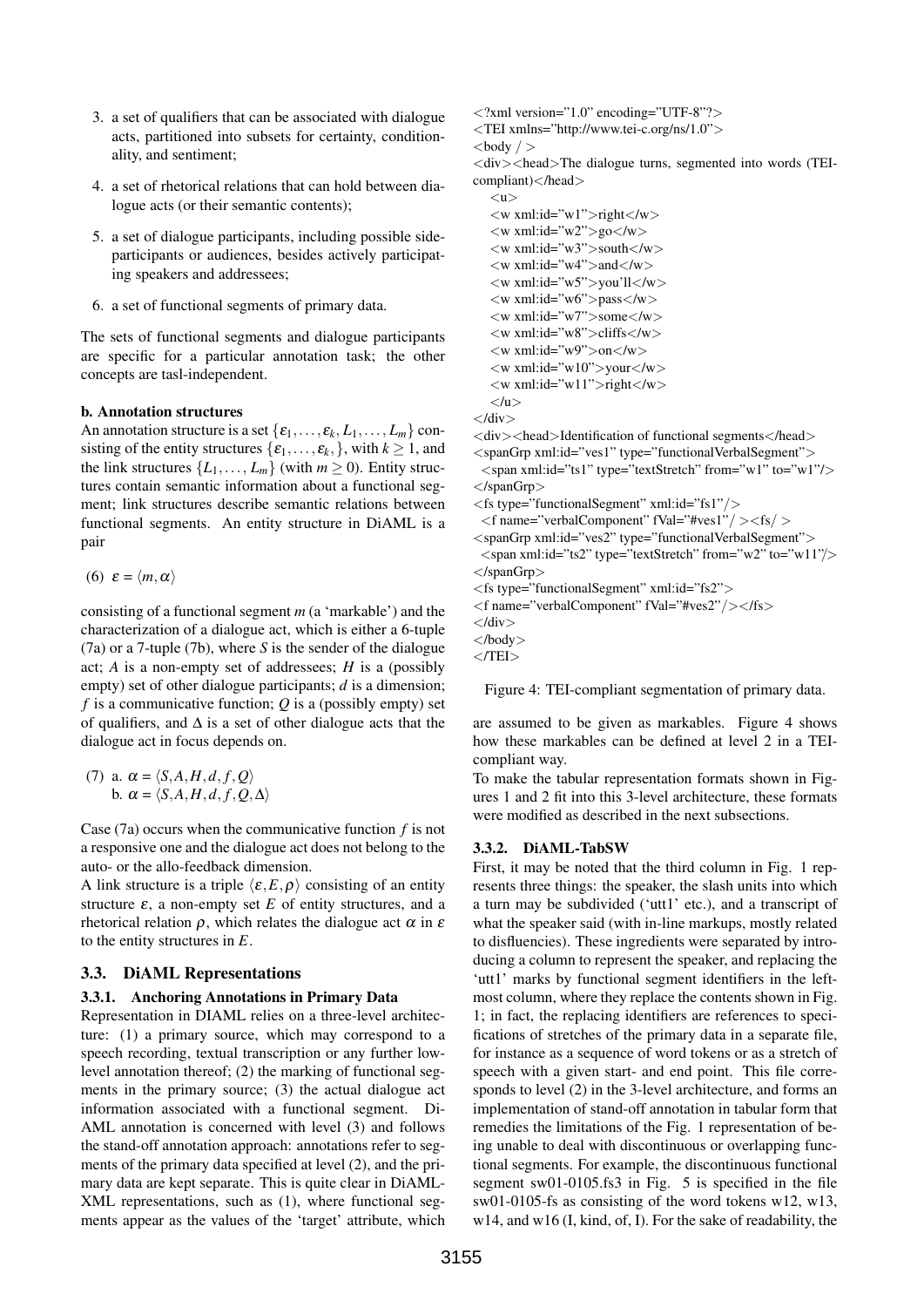- 3. a set of qualifiers that can be associated with dialogue acts, partitioned into subsets for certainty, conditionality, and sentiment;
- 4. a set of rhetorical relations that can hold between dialogue acts (or their semantic contents);
- 5. a set of dialogue participants, including possible sideparticipants or audiences, besides actively participating speakers and addressees;
- 6. a set of functional segments of primary data.

The sets of functional segments and dialogue participants are specific for a particular annotation task; the other concepts are tasl-independent.

#### b. Annotation structures

An annotation structure is a set  $\{\varepsilon_1, \ldots, \varepsilon_k, L_1, \ldots, L_m\}$  consisting of the entity structures  $\{\varepsilon_1, \ldots, \varepsilon_k\}$ , with  $k \ge 1$ , and the link structures  $\{L_1, \ldots, L_m\}$  (with  $m \geq 0$ ). Entity structures contain semantic information about a functional segment; link structures describe semantic relations between functional segments. An entity structure in DiAML is a pair

$$
(6) \varepsilon = \langle m, \alpha \rangle
$$

consisting of a functional segment *m* (a 'markable') and the characterization of a dialogue act, which is either a 6-tuple (7a) or a 7-tuple (7b), where *S* is the sender of the dialogue act; *A* is a non-empty set of addressees; *H* is a (possibly empty) set of other dialogue participants; *d* is a dimension; *f* is a communicative function; *Q* is a (possibly empty) set of qualifiers, and  $\Delta$  is a set of other dialogue acts that the dialogue act in focus depends on.

(7) a. 
$$
\alpha = \langle S, A, H, d, f, Q \rangle
$$
  
b.  $\alpha = \langle S, A, H, d, f, Q, \Delta \rangle$ 

Case (7a) occurs when the communicative function *f* is not a responsive one and the dialogue act does not belong to the auto- or the allo-feedback dimension.

A link structure is a triple  $\langle \varepsilon, E, \rho \rangle$  consisting of an entity structure  $\varepsilon$ , a non-empty set  $E$  of entity structures, and a rhetorical relation  $\rho$ , which relates the dialogue act  $\alpha$  in  $\varepsilon$ to the entity structures in *E*.

## 3.3. DiAML Representations

#### 3.3.1. Anchoring Annotations in Primary Data

Representation in DIAML relies on a three-level architecture: (1) a primary source, which may correspond to a speech recording, textual transcription or any further lowlevel annotation thereof; (2) the marking of functional segments in the primary source; (3) the actual dialogue act information associated with a functional segment. Di-AML annotation is concerned with level (3) and follows the stand-off annotation approach: annotations refer to segments of the primary data specified at level (2), and the primary data are kept separate. This is quite clear in DiAML-XML representations, such as (1), where functional segments appear as the values of the 'target' attribute, which

- $\langle$  2xml version="1.0" encoding="UTF-8"?>
- <TEI xmlns="http://www.tei-c.org/ns/1.0">

```
<body / >
```
 $\langle \text{div}\rangle \langle \text{head}\rangle$ The dialogue turns, segmented into words (TEIcompliant)</head>

```
\langle u \rangle</u>
\langle w \rangle xml:id="w1">right\langle w \rangle\langle w \rangle xml:id="w2">go\langle w \rangle\langle w \rangle xml:id="w3">south\langle w \rangle\langle w \rangle xml:id="w4">and\langle w \rangle\langle w \rangle xml:id="w5">you'll\langle w \rangle\langle w \rangle xml:id="w6">pass\langle w \rangle\langle w \rangle xml:id="w7">some\langle w \rangle\langle w \rangle xml:id="w8">cliffs\langle w \rangle\langle w \rangle xml:id="w9">on\langle w \rangle\langle w \rangle xml:id="w10">your\langle w \rangle\langle w \rangle xml:id="w11">right\langle w \rangle\langle /u \rangle
```
 $\langle$ div $\rangle$  $\langle \text{div}\rangle$  <head>Identification of functional segments  $\langle \text{head}\rangle$ 

<spanGrp xml:id="ves1" type="functionalVerbalSegment">

- $\langle$ span xml:id="ts1" type="textStretch" from="w1" to="w1"/ $>$ </spanGrp>
- <fs type="functionalSegment" xml:id="fs1"/>
- <f name="verbalComponent" fVal="#ves1"/ ><fs/ >
- $\langle$ spanGrp xml:id="ves2" type="functionalVerbalSegment">  $\langle$ span xml:id="ts2" type="textStretch" from="w2" to="w11"/>
- $\langle$ /spanGrp $>$
- <fs type="functionalSegment" xml:id="fs2">
- <f name="verbalComponent" fVal="#ves2"/></fs>
- $\langle$ /div $\rangle$

Figure 4: TEI-compliant segmentation of primary data.

are assumed to be given as markables. Figure 4 shows how these markables can be defined at level 2 in a TEIcompliant way.

To make the tabular representation formats shown in Figures 1 and 2 fit into this 3-level architecture, these formats were modified as described in the next subsections.

#### 3.3.2. DiAML-TabSW

First, it may be noted that the third column in Fig. 1 represents three things: the speaker, the slash units into which a turn may be subdivided ('utt1' etc.), and a transcript of what the speaker said (with in-line markups, mostly related to disfluencies). These ingredients were separated by introducing a column to represent the speaker, and replacing the 'utt1' marks by functional segment identifiers in the leftmost column, where they replace the contents shown in Fig. 1; in fact, the replacing identifiers are references to specifications of stretches of the primary data in a separate file, for instance as a sequence of word tokens or as a stretch of speech with a given start- and end point. This file corresponds to level (2) in the 3-level architecture, and forms an implementation of stand-off annotation in tabular form that remedies the limitations of the Fig. 1 representation of being unable to deal with discontinuous or overlapping functional segments. For example, the discontinuous functional segment sw01-0105.fs3 in Fig. 5 is specified in the file sw01-0105-fs as consisting of the word tokens w12, w13, w14, and w16 (I, kind, of, I). For the sake of readability, the

<sup>&</sup>lt;/body>

 $<$ /TEI $>$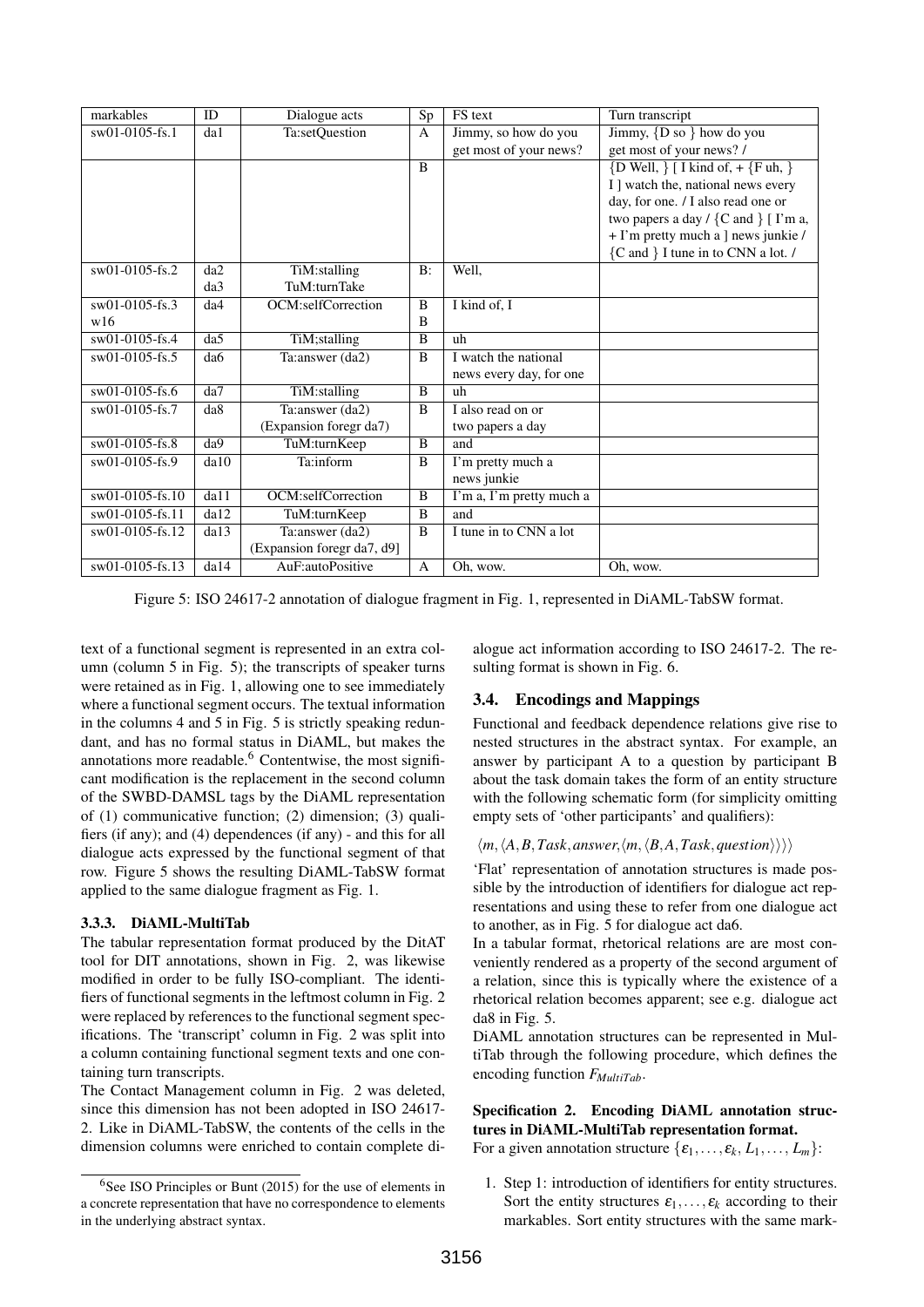| markables         | ID   | Dialogue acts              | Sp             | FS text                  | Turn transcript                                     |
|-------------------|------|----------------------------|----------------|--------------------------|-----------------------------------------------------|
| sw01-0105-fs.1    | da1  | Ta:setQuestion             | A              | Jimmy, so how do you     | Jimmy, $\{D\$ so $\}$ how do you                    |
|                   |      |                            |                | get most of your news?   | get most of your news? /                            |
|                   |      |                            | $\overline{B}$ |                          | $\{D \text{ Well}, \}$ [ I kind of, + $\{Fuh, \}$ ] |
|                   |      |                            |                |                          | I ] watch the, national news every                  |
|                   |      |                            |                |                          | day, for one. / I also read one or                  |
|                   |      |                            |                |                          | two papers a day $/$ {C and } [ I'm a,              |
|                   |      |                            |                |                          | + I'm pretty much a ] news junkie /                 |
|                   |      |                            |                |                          | {C and } I tune in to CNN a lot. /                  |
| sw01-0105-fs.2    | da2  | TiM:stalling               | $B$ :          | Well,                    |                                                     |
|                   | da3  | TuM:turnTake               |                |                          |                                                     |
| $sw01-0105$ -fs.3 | da4  | OCM:selfCorrection         | B              | I kind of, I             |                                                     |
| w16               |      |                            | B              |                          |                                                     |
| $sw01-0105-fs.4$  | da5  | TiM; stalling              | B              | uh                       |                                                     |
| sw01-0105-fs.5    | da6  | Ta: answer (da2)           | B              | I watch the national     |                                                     |
|                   |      |                            |                | news every day, for one  |                                                     |
| $sw01-0105$ -fs.6 | da7  | TiM:stalling               | B              | uh                       |                                                     |
| sw01-0105-fs.7    | da8  | Ta:answer (da2)            | B              | I also read on or        |                                                     |
|                   |      | (Expansion foregr da7)     |                | two papers a day         |                                                     |
| sw01-0105-fs.8    | da9  | TuM:turnKeep               | B              | and                      |                                                     |
| sw01-0105-fs.9    | da10 | Ta:inform                  | B              | I'm pretty much a        |                                                     |
|                   |      |                            |                | news junkie              |                                                     |
| sw01-0105-fs.10   | da11 | OCM:selfCorrection         | B              | I'm a, I'm pretty much a |                                                     |
| sw01-0105-fs.11   | da12 | TuM:turnKeep               | B              | and                      |                                                     |
| sw01-0105-fs.12   | da13 | Ta: answer (da2)           | B              | I tune in to CNN a lot   |                                                     |
|                   |      | (Expansion foregr da7, d9] |                |                          |                                                     |
| sw01-0105-fs.13   | da14 | AuF:autoPositive           | $\overline{A}$ | Oh, wow.                 | Oh, wow.                                            |

Figure 5: ISO 24617-2 annotation of dialogue fragment in Fig. 1, represented in DiAML-TabSW format.

text of a functional segment is represented in an extra column (column 5 in Fig. 5); the transcripts of speaker turns were retained as in Fig. 1, allowing one to see immediately where a functional segment occurs. The textual information in the columns 4 and 5 in Fig. 5 is strictly speaking redundant, and has no formal status in DiAML, but makes the annotations more readable. $6$  Contentwise, the most significant modification is the replacement in the second column of the SWBD-DAMSL tags by the DiAML representation of (1) communicative function; (2) dimension; (3) qualifiers (if any); and (4) dependences (if any) - and this for all dialogue acts expressed by the functional segment of that row. Figure 5 shows the resulting DiAML-TabSW format applied to the same dialogue fragment as Fig. 1.

## 3.3.3. DiAML-MultiTab

The tabular representation format produced by the DitAT tool for DIT annotations, shown in Fig. 2, was likewise modified in order to be fully ISO-compliant. The identifiers of functional segments in the leftmost column in Fig. 2 were replaced by references to the functional segment specifications. The 'transcript' column in Fig. 2 was split into a column containing functional segment texts and one containing turn transcripts.

The Contact Management column in Fig. 2 was deleted, since this dimension has not been adopted in ISO 24617- 2. Like in DiAML-TabSW, the contents of the cells in the dimension columns were enriched to contain complete di-

alogue act information according to ISO 24617-2. The resulting format is shown in Fig. 6.

# 3.4. Encodings and Mappings

Functional and feedback dependence relations give rise to nested structures in the abstract syntax. For example, an answer by participant A to a question by participant B about the task domain takes the form of an entity structure with the following schematic form (for simplicity omitting empty sets of 'other participants' and qualifiers):

## $\langle m, \langle A, B, Task, answer, \langle m, \langle B, A, Task, question \rangle \rangle \rangle$

'Flat' representation of annotation structures is made possible by the introduction of identifiers for dialogue act representations and using these to refer from one dialogue act to another, as in Fig. 5 for dialogue act da6.

In a tabular format, rhetorical relations are are most conveniently rendered as a property of the second argument of a relation, since this is typically where the existence of a rhetorical relation becomes apparent; see e.g. dialogue act da8 in Fig. 5.

DiAML annotation structures can be represented in MultiTab through the following procedure, which defines the encoding function *FMultiTab*.

# Specification 2. Encoding DiAML annotation structures in DiAML-MultiTab representation format.

For a given annotation structure  $\{\varepsilon_1, \ldots, \varepsilon_k, L_1, \ldots, L_m\}$ :

1. Step 1: introduction of identifiers for entity structures. Sort the entity structures  $\varepsilon_1, \ldots, \varepsilon_k$  according to their markables. Sort entity structures with the same mark-

 $6$ See ISO Principles or Bunt (2015) for the use of elements in a concrete representation that have no correspondence to elements in the underlying abstract syntax.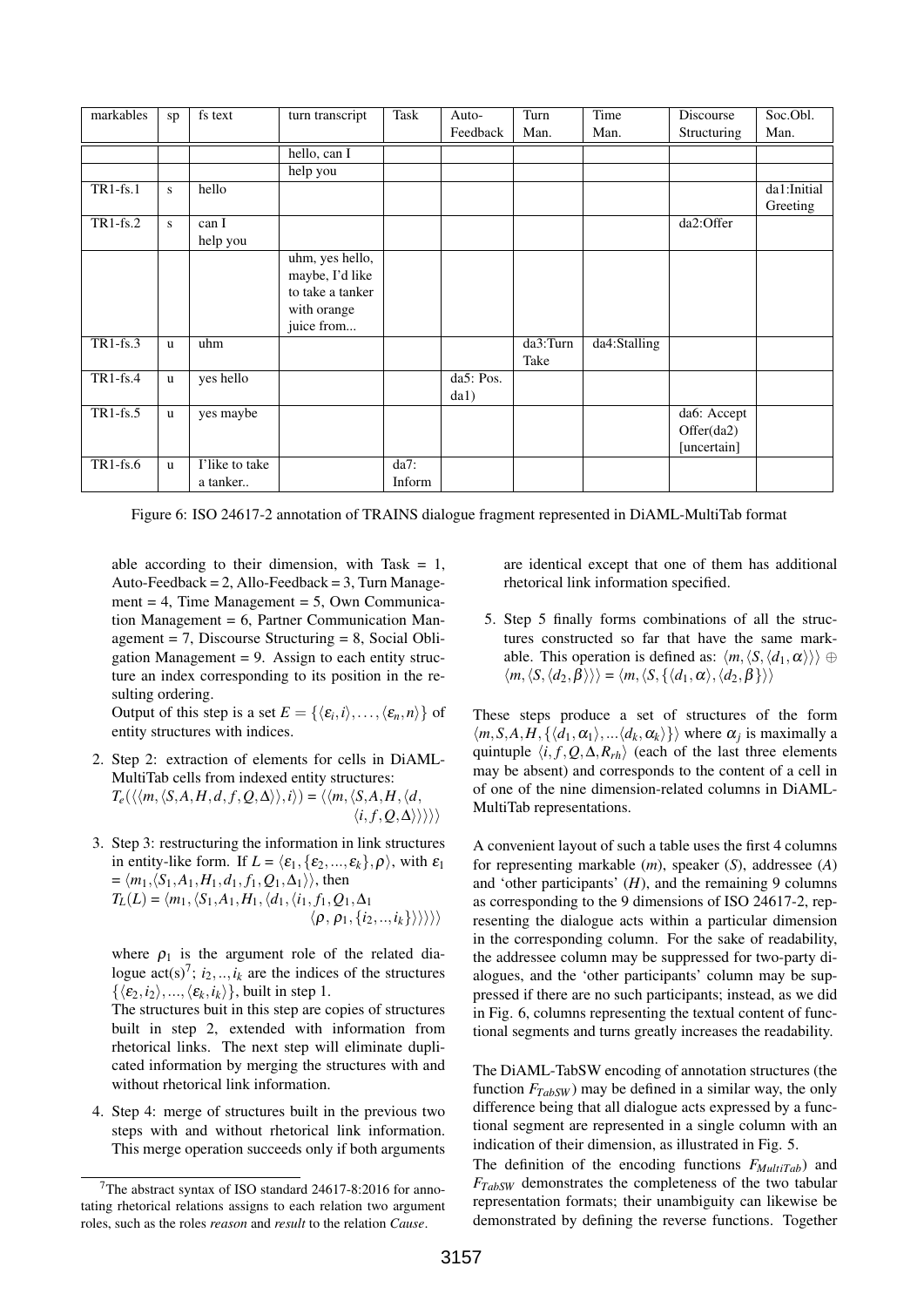| markables   | sp | fs text        | turn transcript  | Task    | Auto-      | Turn     | Time         | Discourse   | Soc.Obl.    |
|-------------|----|----------------|------------------|---------|------------|----------|--------------|-------------|-------------|
|             |    |                |                  |         | Feedback   | Man.     | Man.         | Structuring | Man.        |
|             |    |                | hello, can I     |         |            |          |              |             |             |
|             |    |                | help you         |         |            |          |              |             |             |
| $TR1-fs.1$  | S  | hello          |                  |         |            |          |              |             | da1:Initial |
|             |    |                |                  |         |            |          |              |             | Greeting    |
| $TR1$ -fs.2 | S  | can I          |                  |         |            |          |              | da2:Offer   |             |
|             |    | help you       |                  |         |            |          |              |             |             |
|             |    |                | uhm, yes hello,  |         |            |          |              |             |             |
|             |    |                | maybe, I'd like  |         |            |          |              |             |             |
|             |    |                | to take a tanker |         |            |          |              |             |             |
|             |    |                | with orange      |         |            |          |              |             |             |
|             |    |                | juice from       |         |            |          |              |             |             |
| $TR1-fs.3$  | u  | uhm            |                  |         |            | da3:Turn | da4:Stalling |             |             |
|             |    |                |                  |         |            | Take     |              |             |             |
| $TR1-fs.4$  | u  | yes hello      |                  |         | da5: Pos.  |          |              |             |             |
|             |    |                |                  |         | $d$ a $1)$ |          |              |             |             |
| $TR1-fs.5$  | u  | yes maybe      |                  |         |            |          |              | da6: Accept |             |
|             |    |                |                  |         |            |          |              | Offer(da2)  |             |
|             |    |                |                  |         |            |          |              | [uncertain] |             |
| $TR1$ -fs.6 | u  | I'like to take |                  | $da7$ : |            |          |              |             |             |
|             |    | a tanker       |                  | Inform  |            |          |              |             |             |

Figure 6: ISO 24617-2 annotation of TRAINS dialogue fragment represented in DiAML-MultiTab format

able according to their dimension, with Task  $= 1$ , Auto-Feedback =  $2$ , Allo-Feedback =  $3$ , Turn Management  $= 4$ , Time Management  $= 5$ , Own Communication Management = 6, Partner Communication Management  $= 7$ , Discourse Structuring  $= 8$ , Social Obligation Management  $= 9$ . Assign to each entity structure an index corresponding to its position in the resulting ordering.

Output of this step is a set  $E = \{ \langle \varepsilon_i, i \rangle, \dots, \langle \varepsilon_n, n \rangle \}$  of entity structures with indices.

- 2. Step 2: extraction of elements for cells in DiAML-MultiTab cells from indexed entity structures:  $T_e(\langle\langle m,\langle S,A,H,d,f,Q,\Delta\rangle\rangle,i)\rangle = \langle\langle m,\langle S,A,H,\langle d,\rangle\rangle\rangle,i\rangle)$  $\langle i, f, Q, \Delta \rangle \rangle \rangle \rangle$
- 3. Step 3: restructuring the information in link structures in entity-like form. If  $L = \langle \varepsilon_1, \{\varepsilon_2, ..., \varepsilon_k\}, \rho \rangle$ , with  $\varepsilon_1$  $= \langle m_1, \langle S_1, A_1, H_1, d_1, f_1, Q_1, \Delta_1 \rangle$ , then  $T_L(L) = \langle m_1, \langle S_1, A_1, H_1, \langle d_1, \langle i_1, f_1, Q_1, \Delta_1 \rangle \rangle$  $\langle \rho, \rho_1, \{i_2, ..., i_k\}\rangle\rangle\rangle$

where  $\rho_1$  is the argument role of the related dialogue  $\arctan(z)$ <sup>7</sup>;  $i_2, \ldots, i_k$  are the indices of the structures  $\{\langle \varepsilon_2, i_2 \rangle, ..., \langle \varepsilon_k, i_k \rangle\}$ , built in step 1.

The structures buit in this step are copies of structures built in step 2, extended with information from rhetorical links. The next step will eliminate duplicated information by merging the structures with and without rhetorical link information.

4. Step 4: merge of structures built in the previous two steps with and without rhetorical link information. This merge operation succeeds only if both arguments

are identical except that one of them has additional rhetorical link information specified.

5. Step 5 finally forms combinations of all the structures constructed so far that have the same markable. This operation is defined as:  $\langle m, \langle S, \langle d_1, \alpha \rangle \rangle \rangle \oplus$  $\langle m, \langle S, \langle d_2, \beta \rangle \rangle \rangle = \langle m, \langle S, \{ \langle d_1, \alpha \rangle, \langle d_2, \beta \} \rangle \rangle$ 

These steps produce a set of structures of the form  $\langle m, S, A, H, \{\langle d_1, \alpha_1 \rangle, \ldots, \langle d_k, \alpha_k \rangle\} \rangle$  where  $\alpha_j$  is maximally a quintuple  $\langle i, f, Q, \Delta, R_r h \rangle$  (each of the last three elements may be absent) and corresponds to the content of a cell in of one of the nine dimension-related columns in DiAML-MultiTab representations.

A convenient layout of such a table uses the first 4 columns for representing markable (*m*), speaker (*S*), addressee (*A*) and 'other participants'  $(H)$ , and the remaining 9 columns as corresponding to the 9 dimensions of ISO 24617-2, representing the dialogue acts within a particular dimension in the corresponding column. For the sake of readability, the addressee column may be suppressed for two-party dialogues, and the 'other participants' column may be suppressed if there are no such participants; instead, as we did in Fig. 6, columns representing the textual content of functional segments and turns greatly increases the readability.

The DiAML-TabSW encoding of annotation structures (the function  $F_{TabSW}$ ) may be defined in a similar way, the only difference being that all dialogue acts expressed by a functional segment are represented in a single column with an indication of their dimension, as illustrated in Fig. 5.

The definition of the encoding functions *FMultiTab*) and *FTabSW* demonstrates the completeness of the two tabular representation formats; their unambiguity can likewise be demonstrated by defining the reverse functions. Together

<sup>7</sup>The abstract syntax of ISO standard 24617-8:2016 for annotating rhetorical relations assigns to each relation two argument roles, such as the roles *reason* and *result* to the relation *Cause*.